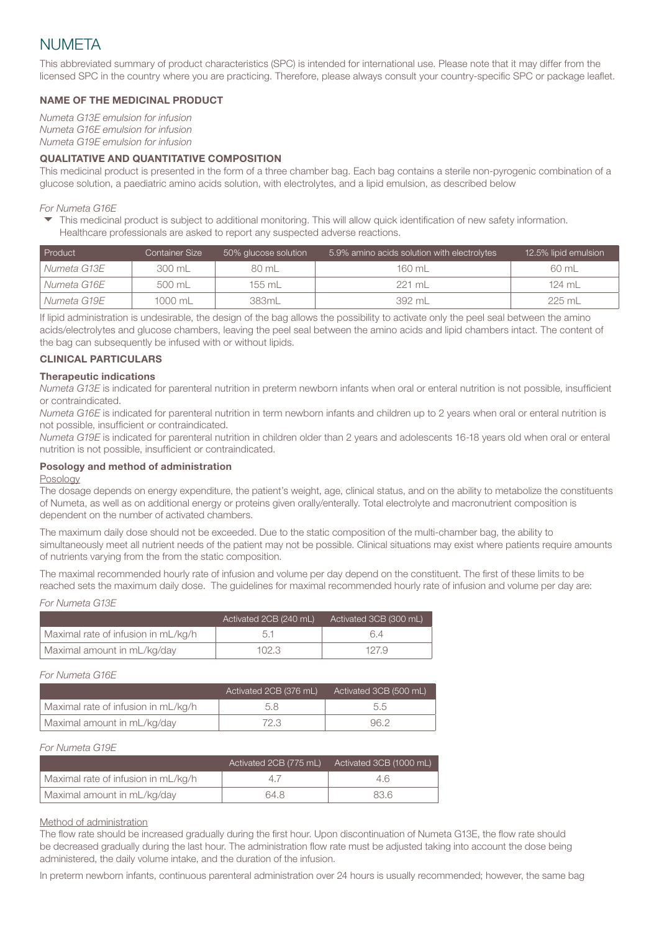# NUMETA

This abbreviated summary of product characteristics (SPC) is intended for international use. Please note that it may differ from the licensed SPC in the country where you are practicing. Therefore, please always consult your country-specific SPC or package leaflet.

# NAME OF THE MEDICINAL PRODUCT

*Numeta G13E emulsion for infusion Numeta G16E emulsion for infusion Numeta G19E emulsion for infusion*

# QUALITATIVE AND QUANTITATIVE COMPOSITION

This medicinal product is presented in the form of a three chamber bag. Each bag contains a sterile non-pyrogenic combination of a glucose solution, a paediatric amino acids solution, with electrolytes, and a lipid emulsion, as described below

*For Numeta G16E*

This medicinal product is subject to additional monitoring. This will allow quick identification of new safety information. 4Healthcare professionals are asked to report any suspected adverse reactions.

| <b>Product</b> | <b>Container Size</b> | 50% glucose solution ' | 5.9% amino acids solution with electrolytes | 12.5% lipid emulsion |
|----------------|-----------------------|------------------------|---------------------------------------------|----------------------|
| Numeta G13E    | 300 mL                | 80 mL                  | 160 mL                                      | 60 mL                |
| Numeta G16E    | 500 mL                | 155 mL                 | $221$ ml                                    | 124 ml               |
| Numeta G19E    | 1000 mL               | 383mL                  | 392 mL                                      | 225 mL               |

If lipid administration is undesirable, the design of the bag allows the possibility to activate only the peel seal between the amino acids/electrolytes and glucose chambers, leaving the peel seal between the amino acids and lipid chambers intact. The content of the bag can subsequently be infused with or without lipids.

# CLINICAL PARTICULARS

## Therapeutic indications

*Numeta G13E* is indicated for parenteral nutrition in preterm newborn infants when oral or enteral nutrition is not possible, insufficient or contraindicated.

*Numeta G16E* is indicated for parenteral nutrition in term newborn infants and children up to 2 years when oral or enteral nutrition is not possible, insufficient or contraindicated.

*Numeta G19E* is indicated for parenteral nutrition in children older than 2 years and adolescents 16-18 years old when oral or enteral nutrition is not possible, insufficient or contraindicated.

# Posology and method of administration

#### Posology

The dosage depends on energy expenditure, the patient's weight, age, clinical status, and on the ability to metabolize the constituents of Numeta, as well as on additional energy or proteins given orally/enterally. Total electrolyte and macronutrient composition is dependent on the number of activated chambers.

The maximum daily dose should not be exceeded. Due to the static composition of the multi-chamber bag, the ability to simultaneously meet all nutrient needs of the patient may not be possible. Clinical situations may exist where patients require amounts of nutrients varying from the from the static composition.

The maximal recommended hourly rate of infusion and volume per day depend on the constituent. The first of these limits to be reached sets the maximum daily dose. The guidelines for maximal recommended hourly rate of infusion and volume per day are:

|                                     | Activated 2CB (240 mL) | Activated 3CB (300 mL) |
|-------------------------------------|------------------------|------------------------|
| Maximal rate of infusion in mL/kg/h |                        | 64                     |
| Maximal amount in mL/kg/day         | 102.3                  | 127.9                  |

## *For Numeta G16E*

|                                     | Activated 2CB (376 mL) | Activated 3CB (500 mL) |
|-------------------------------------|------------------------|------------------------|
| Maximal rate of infusion in mL/kg/h |                        | 5.5                    |
| Maximal amount in mL/kg/day         | 72.3.                  | 96 2                   |

#### *For Numeta G19E*

|                                     | Activated 2CB (775 mL) | Activated 3CB (1000 mL) |
|-------------------------------------|------------------------|-------------------------|
| Maximal rate of infusion in mL/kg/h |                        | 4.6                     |
| Maximal amount in mL/kg/day         | 64.8                   | 83.6                    |

#### Method of administration

The flow rate should be increased gradually during the first hour. Upon discontinuation of Numeta G13E, the flow rate should be decreased gradually during the last hour. The administration flow rate must be adjusted taking into account the dose being administered, the daily volume intake, and the duration of the infusion.

In preterm newborn infants, continuous parenteral administration over 24 hours is usually recommended; however, the same bag